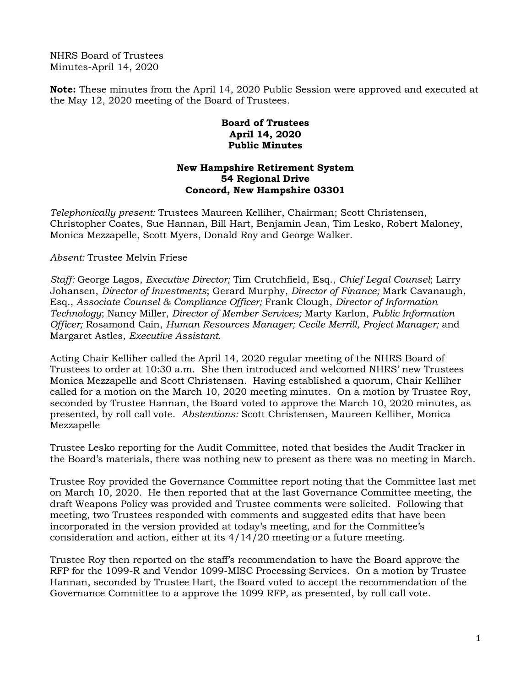NHRS Board of Trustees Minutes-April 14, 2020

**Note:** These minutes from the April 14, 2020 Public Session were approved and executed at the May 12, 2020 meeting of the Board of Trustees.

## **Board of Trustees April 14, 2020 Public Minutes**

## **New Hampshire Retirement System 54 Regional Drive Concord, New Hampshire 03301**

*Telephonically present:* Trustees Maureen Kelliher, Chairman; Scott Christensen, Christopher Coates, Sue Hannan, Bill Hart, Benjamin Jean, Tim Lesko, Robert Maloney, Monica Mezzapelle, Scott Myers, Donald Roy and George Walker.

*Absent:* Trustee Melvin Friese

*Staff:* George Lagos, *Executive Director;* Tim Crutchfield, Esq., *Chief Legal Counsel*; Larry Johansen, *Director of Investments*; Gerard Murphy, *Director of Finance;* Mark Cavanaugh, Esq., *Associate Counsel & Compliance Officer;* Frank Clough, *Director of Information Technology*; Nancy Miller, *Director of Member Services;* Marty Karlon, *Public Information Officer;* Rosamond Cain, *Human Resources Manager; Cecile Merrill, Project Manager;* and Margaret Astles, *Executive Assistant.* 

Acting Chair Kelliher called the April 14, 2020 regular meeting of the NHRS Board of Trustees to order at 10:30 a.m. She then introduced and welcomed NHRS' new Trustees Monica Mezzapelle and Scott Christensen. Having established a quorum, Chair Kelliher called for a motion on the March 10, 2020 meeting minutes. On a motion by Trustee Roy, seconded by Trustee Hannan, the Board voted to approve the March 10, 2020 minutes, as presented, by roll call vote. *Abstentions:* Scott Christensen, Maureen Kelliher, Monica Mezzapelle

Trustee Lesko reporting for the Audit Committee, noted that besides the Audit Tracker in the Board's materials, there was nothing new to present as there was no meeting in March.

Trustee Roy provided the Governance Committee report noting that the Committee last met on March 10, 2020. He then reported that at the last Governance Committee meeting, the draft Weapons Policy was provided and Trustee comments were solicited. Following that meeting, two Trustees responded with comments and suggested edits that have been incorporated in the version provided at today's meeting, and for the Committee's consideration and action, either at its 4/14/20 meeting or a future meeting.

Trustee Roy then reported on the staff's recommendation to have the Board approve the RFP for the 1099-R and Vendor 1099-MISC Processing Services. On a motion by Trustee Hannan, seconded by Trustee Hart, the Board voted to accept the recommendation of the Governance Committee to a approve the 1099 RFP, as presented, by roll call vote.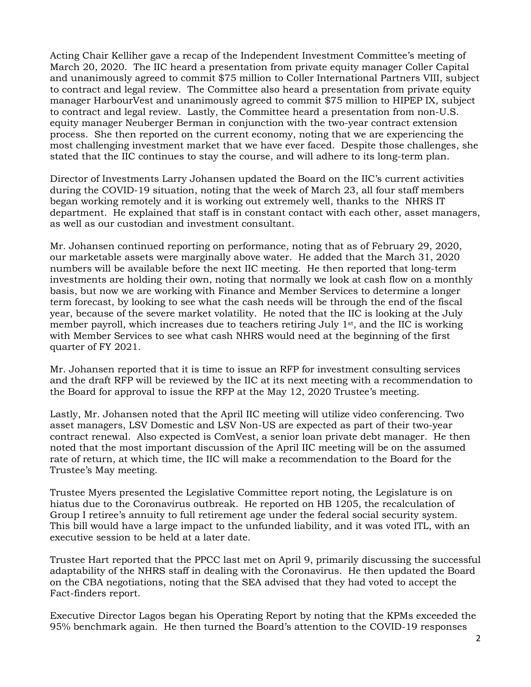Acting Chair Kelliher gave a recap of the Independent Investment Committee's meeting of March 20, 2020. The IIC heard a presentation from private equity manager Coller Capital and unanimously agreed to commit \$75 million to Coller International Partners VIII, subject to contract and legal review. The Committee also heard a presentation from private equity manager HarbourVest and unanimously agreed to commit \$75 million to HIPEP IX, subject to contract and legal review. Lastly, the Committee heard a presentation from non-U.S. equity manager Neuberger Berman in conjunction with the two-year contract extension process. She then reported on the current economy, noting that we are experiencing the most challenging investment market that we have ever faced. Despite those challenges, she stated that the IIC continues to stay the course, and will adhere to its long-term plan.

Director of Investments Larry Johansen updated the Board on the IIC's current activities during the COVID-19 situation, noting that the week of March 23, all four staff members began working remotely and it is working out extremely well, thanks to the NHRS IT department. He explained that staff is in constant contact with each other, asset managers, as well as our custodian and investment consultant.

Mr. Johansen continued reporting on performance, noting that as of February 29, 2020, our marketable assets were marginally above water. He added that the March 31, 2020 numbers will be available before the next IIC meeting. He then reported that long-term investments are holding their own, noting that normally we look at cash flow on a monthly basis, but now we are working with Finance and Member Services to determine a longer term forecast, by looking to see what the cash needs will be through the end of the fiscal year, because of the severe market volatility. He noted that the IIC is looking at the July member payroll, which increases due to teachers retiring July 1<sup>st</sup>, and the IIC is working with Member Services to see what cash NHRS would need at the beginning of the first quarter of FY 2021.

Mr. Johansen reported that it is time to issue an RFP for investment consulting services and the draft RFP will be reviewed by the IIC at its next meeting with a recommendation to the Board for approval to issue the RFP at the May 12, 2020 Trustee's meeting.

Lastly, Mr. Johansen noted that the April IIC meeting will utilize video conferencing. Two asset managers, LSV Domestic and LSV Non-US are expected as part of their two-year contract renewal. Also expected is ComVest, a senior loan private debt manager. He then noted that the most important discussion of the April IIC meeting will be on the assumed rate of return, at which time, the IIC will make a recommendation to the Board for the Trustee's May meeting.

Trustee Myers presented the Legislative Committee report noting, the Legislature is on hiatus due to the Coronavirus outbreak. He reported on HB 1205, the recalculation of Group I retiree's annuity to full retirement age under the federal social security system. This bill would have a large impact to the unfunded liability, and it was voted ITL, with an executive session to be held at a later date.

Trustee Hart reported that the PPCC last met on April 9, primarily discussing the successful adaptability of the NHRS staff in dealing with the Coronavirus. He then updated the Board on the CBA negotiations, noting that the SEA advised that they had voted to accept the Fact-finders report.

Executive Director Lagos began his Operating Report by noting that the KPMs exceeded the 95% benchmark again. He then turned the Board's attention to the COVID-19 responses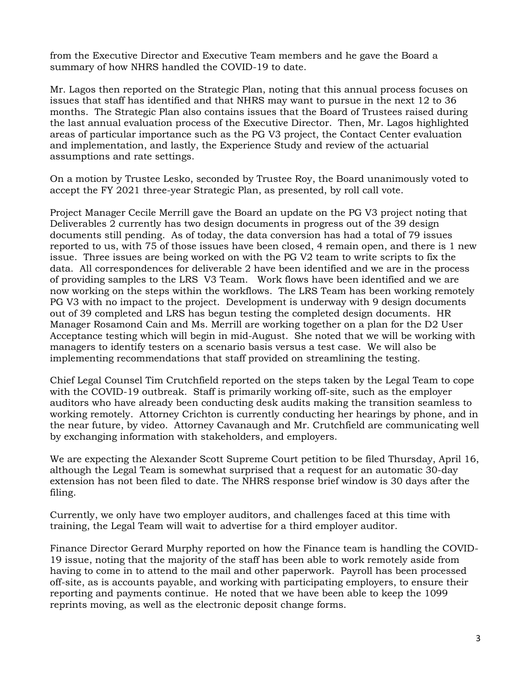from the Executive Director and Executive Team members and he gave the Board a summary of how NHRS handled the COVID-19 to date.

Mr. Lagos then reported on the Strategic Plan, noting that this annual process focuses on issues that staff has identified and that NHRS may want to pursue in the next 12 to 36 months. The Strategic Plan also contains issues that the Board of Trustees raised during the last annual evaluation process of the Executive Director. Then, Mr. Lagos highlighted areas of particular importance such as the PG V3 project, the Contact Center evaluation and implementation, and lastly, the Experience Study and review of the actuarial assumptions and rate settings.

On a motion by Trustee Lesko, seconded by Trustee Roy, the Board unanimously voted to accept the FY 2021 three-year Strategic Plan, as presented, by roll call vote.

Project Manager Cecile Merrill gave the Board an update on the PG V3 project noting that Deliverables 2 currently has two design documents in progress out of the 39 design documents still pending. As of today, the data conversion has had a total of 79 issues reported to us, with 75 of those issues have been closed, 4 remain open, and there is 1 new issue. Three issues are being worked on with the PG V2 team to write scripts to fix the data. All correspondences for deliverable 2 have been identified and we are in the process of providing samples to the LRS V3 Team. Work flows have been identified and we are now working on the steps within the workflows. The LRS Team has been working remotely PG V3 with no impact to the project. Development is underway with 9 design documents out of 39 completed and LRS has begun testing the completed design documents. HR Manager Rosamond Cain and Ms. Merrill are working together on a plan for the D2 User Acceptance testing which will begin in mid-August. She noted that we will be working with managers to identify testers on a scenario basis versus a test case. We will also be implementing recommendations that staff provided on streamlining the testing.

Chief Legal Counsel Tim Crutchfield reported on the steps taken by the Legal Team to cope with the COVID-19 outbreak. Staff is primarily working off-site, such as the employer auditors who have already been conducting desk audits making the transition seamless to working remotely. Attorney Crichton is currently conducting her hearings by phone, and in the near future, by video. Attorney Cavanaugh and Mr. Crutchfield are communicating well by exchanging information with stakeholders, and employers.

We are expecting the Alexander Scott Supreme Court petition to be filed Thursday, April 16, although the Legal Team is somewhat surprised that a request for an automatic 30-day extension has not been filed to date. The NHRS response brief window is 30 days after the filing.

Currently, we only have two employer auditors, and challenges faced at this time with training, the Legal Team will wait to advertise for a third employer auditor.

Finance Director Gerard Murphy reported on how the Finance team is handling the COVID-19 issue, noting that the majority of the staff has been able to work remotely aside from having to come in to attend to the mail and other paperwork. Payroll has been processed off-site, as is accounts payable, and working with participating employers, to ensure their reporting and payments continue. He noted that we have been able to keep the 1099 reprints moving, as well as the electronic deposit change forms.